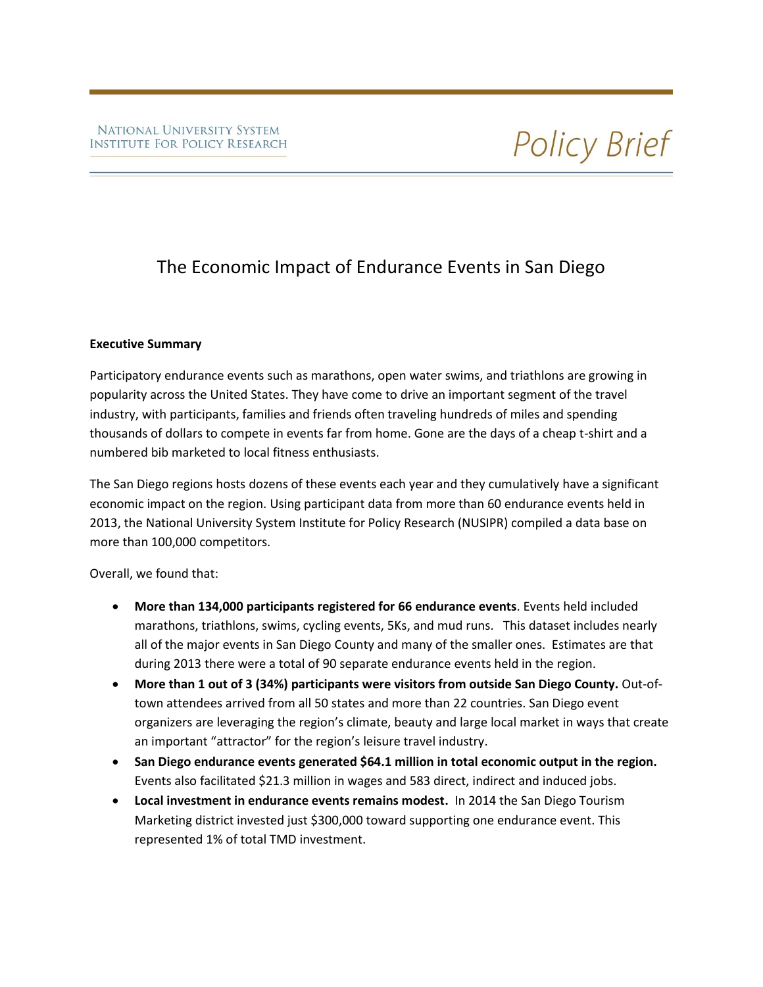# The Economic Impact of Endurance Events in San Diego

# **Executive Summary**

Participatory endurance events such as marathons, open water swims, and triathlons are growing in popularity across the United States. They have come to drive an important segment of the travel industry, with participants, families and friends often traveling hundreds of miles and spending thousands of dollars to compete in events far from home. Gone are the days of a cheap t-shirt and a numbered bib marketed to local fitness enthusiasts.

The San Diego regions hosts dozens of these events each year and they cumulatively have a significant economic impact on the region. Using participant data from more than 60 endurance events held in 2013, the National University System Institute for Policy Research (NUSIPR) compiled a data base on more than 100,000 competitors.

Overall, we found that:

- **More than 134,000 participants registered for 66 endurance events**. Events held included marathons, triathlons, swims, cycling events, 5Ks, and mud runs. This dataset includes nearly all of the major events in San Diego County and many of the smaller ones. Estimates are that during 2013 there were a total of 90 separate endurance events held in the region.
- **More than 1 out of 3 (34%) participants were visitors from outside San Diego County.** Out-oftown attendees arrived from all 50 states and more than 22 countries. San Diego event organizers are leveraging the region's climate, beauty and large local market in ways that create an important "attractor" for the region's leisure travel industry.
- **San Diego endurance events generated \$64.1 million in total economic output in the region.**  Events also facilitated \$21.3 million in wages and 583 direct, indirect and induced jobs.
- **Local investment in endurance events remains modest.** In 2014 the San Diego Tourism Marketing district invested just \$300,000 toward supporting one endurance event. This represented 1% of total TMD investment.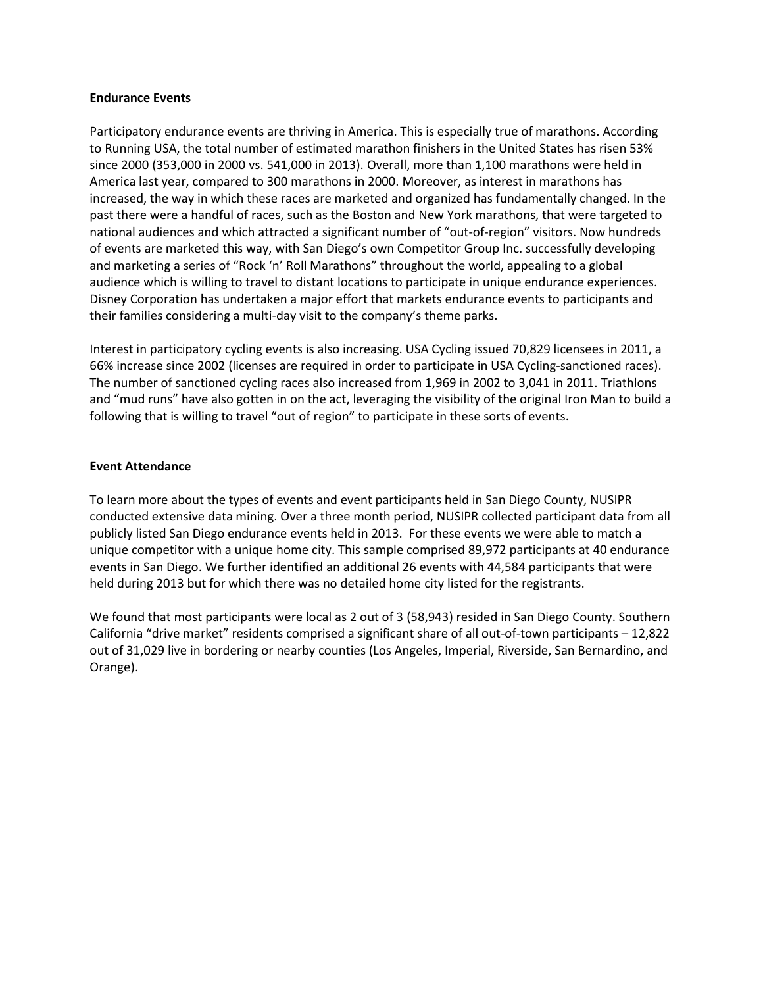#### **Endurance Events**

Participatory endurance events are thriving in America. This is especially true of marathons. According to Running USA, the total number of estimated marathon finishers in the United States has risen 53% since 2000 (353,000 in 2000 vs. 541,000 in 2013). Overall, more than 1,100 marathons were held in America last year, compared to 300 marathons in 2000. Moreover, as interest in marathons has increased, the way in which these races are marketed and organized has fundamentally changed. In the past there were a handful of races, such as the Boston and New York marathons, that were targeted to national audiences and which attracted a significant number of "out-of-region" visitors. Now hundreds of events are marketed this way, with San Diego's own Competitor Group Inc. successfully developing and marketing a series of "Rock 'n' Roll Marathons" throughout the world, appealing to a global audience which is willing to travel to distant locations to participate in unique endurance experiences. Disney Corporation has undertaken a major effort that markets endurance events to participants and their families considering a multi-day visit to the company's theme parks.

Interest in participatory cycling events is also increasing. USA Cycling issued 70,829 licensees in 2011, a 66% increase since 2002 (licenses are required in order to participate in USA Cycling-sanctioned races). The number of sanctioned cycling races also increased from 1,969 in 2002 to 3,041 in 2011. Triathlons and "mud runs" have also gotten in on the act, leveraging the visibility of the original Iron Man to build a following that is willing to travel "out of region" to participate in these sorts of events.

# **Event Attendance**

To learn more about the types of events and event participants held in San Diego County, NUSIPR conducted extensive data mining. Over a three month period, NUSIPR collected participant data from all publicly listed San Diego endurance events held in 2013. For these events we were able to match a unique competitor with a unique home city. This sample comprised 89,972 participants at 40 endurance events in San Diego. We further identified an additional 26 events with 44,584 participants that were held during 2013 but for which there was no detailed home city listed for the registrants.

We found that most participants were local as 2 out of 3 (58,943) resided in San Diego County. Southern California "drive market" residents comprised a significant share of all out-of-town participants – 12,822 out of 31,029 live in bordering or nearby counties (Los Angeles, Imperial, Riverside, San Bernardino, and Orange).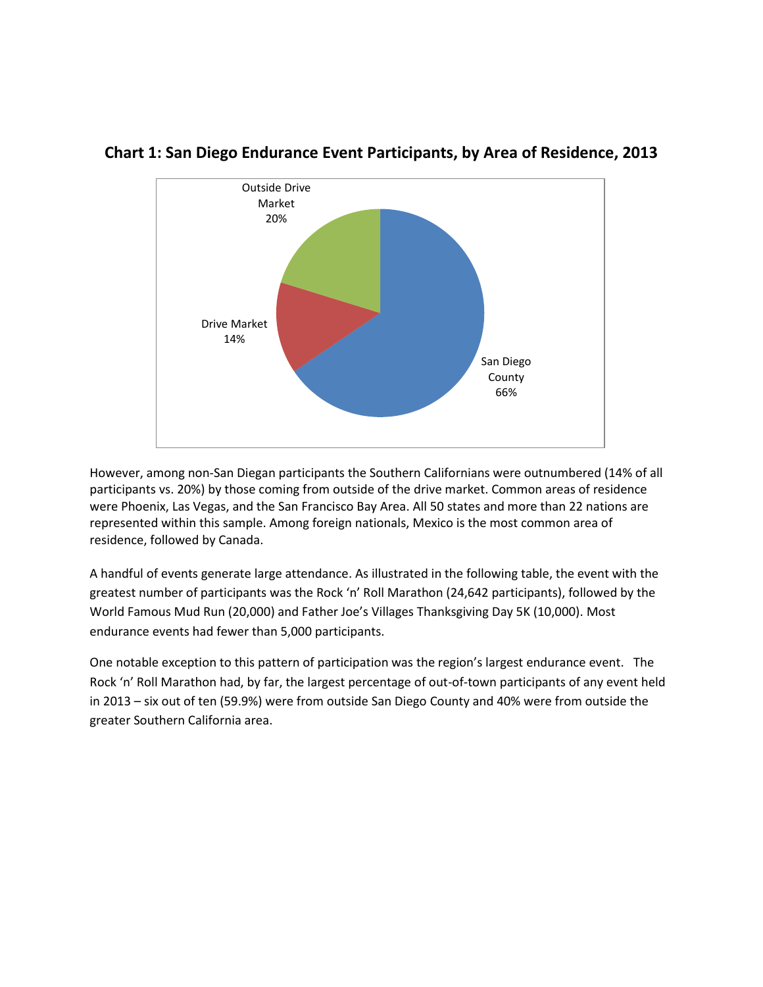

# **Chart 1: San Diego Endurance Event Participants, by Area of Residence, 2013**

However, among non-San Diegan participants the Southern Californians were outnumbered (14% of all participants vs. 20%) by those coming from outside of the drive market. Common areas of residence were Phoenix, Las Vegas, and the San Francisco Bay Area. All 50 states and more than 22 nations are represented within this sample. Among foreign nationals, Mexico is the most common area of residence, followed by Canada.

A handful of events generate large attendance. As illustrated in the following table, the event with the greatest number of participants was the Rock 'n' Roll Marathon (24,642 participants), followed by the World Famous Mud Run (20,000) and Father Joe's Villages Thanksgiving Day 5K (10,000). Most endurance events had fewer than 5,000 participants.

One notable exception to this pattern of participation was the region's largest endurance event. The Rock 'n' Roll Marathon had, by far, the largest percentage of out-of-town participants of any event held in 2013 – six out of ten (59.9%) were from outside San Diego County and 40% were from outside the greater Southern California area.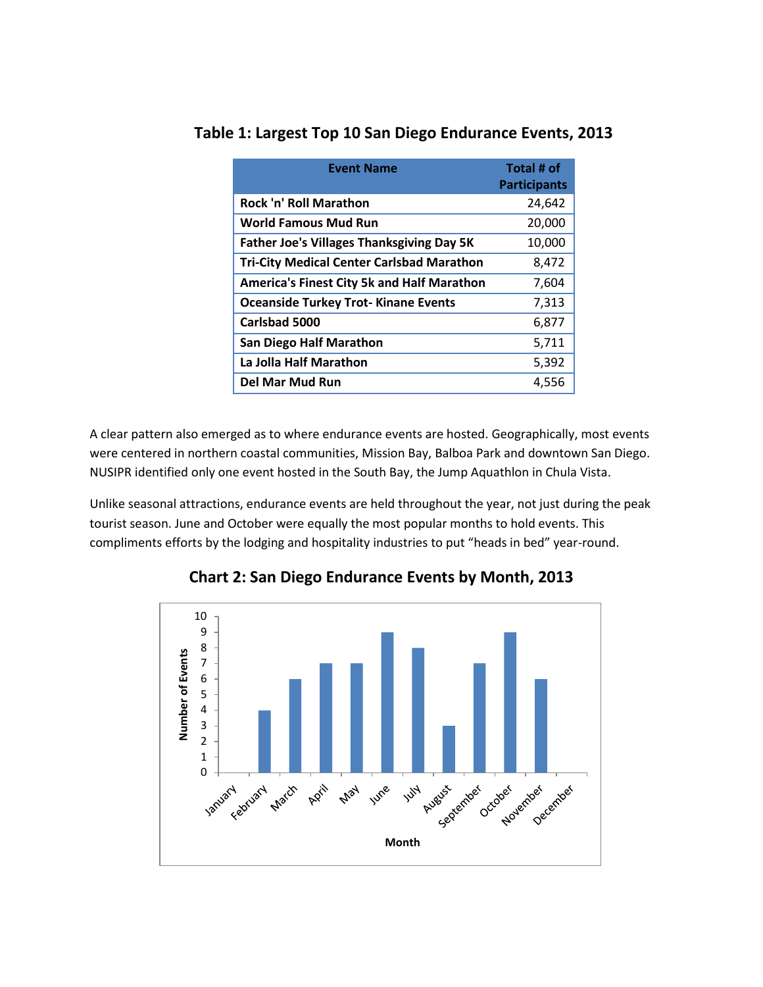| <b>Event Name</b>                                 | Total # of<br><b>Participants</b> |
|---------------------------------------------------|-----------------------------------|
| <b>Rock 'n' Roll Marathon</b>                     | 24,642                            |
| World Famous Mud Run                              | 20,000                            |
| <b>Father Joe's Villages Thanksgiving Day 5K</b>  | 10,000                            |
| <b>Tri-City Medical Center Carlsbad Marathon</b>  | 8,472                             |
| <b>America's Finest City 5k and Half Marathon</b> | 7,604                             |
| <b>Oceanside Turkey Trot-Kinane Events</b>        | 7,313                             |
| Carlsbad 5000                                     | 6,877                             |
| San Diego Half Marathon                           | 5,711                             |
| La Jolla Half Marathon                            | 5,392                             |
| Del Mar Mud Run                                   | 4,556                             |

# **Table 1: Largest Top 10 San Diego Endurance Events, 2013**

A clear pattern also emerged as to where endurance events are hosted. Geographically, most events were centered in northern coastal communities, Mission Bay, Balboa Park and downtown San Diego. NUSIPR identified only one event hosted in the South Bay, the Jump Aquathlon in Chula Vista.

Unlike seasonal attractions, endurance events are held throughout the year, not just during the peak tourist season. June and October were equally the most popular months to hold events. This compliments efforts by the lodging and hospitality industries to put "heads in bed" year-round.



**Chart 2: San Diego Endurance Events by Month, 2013**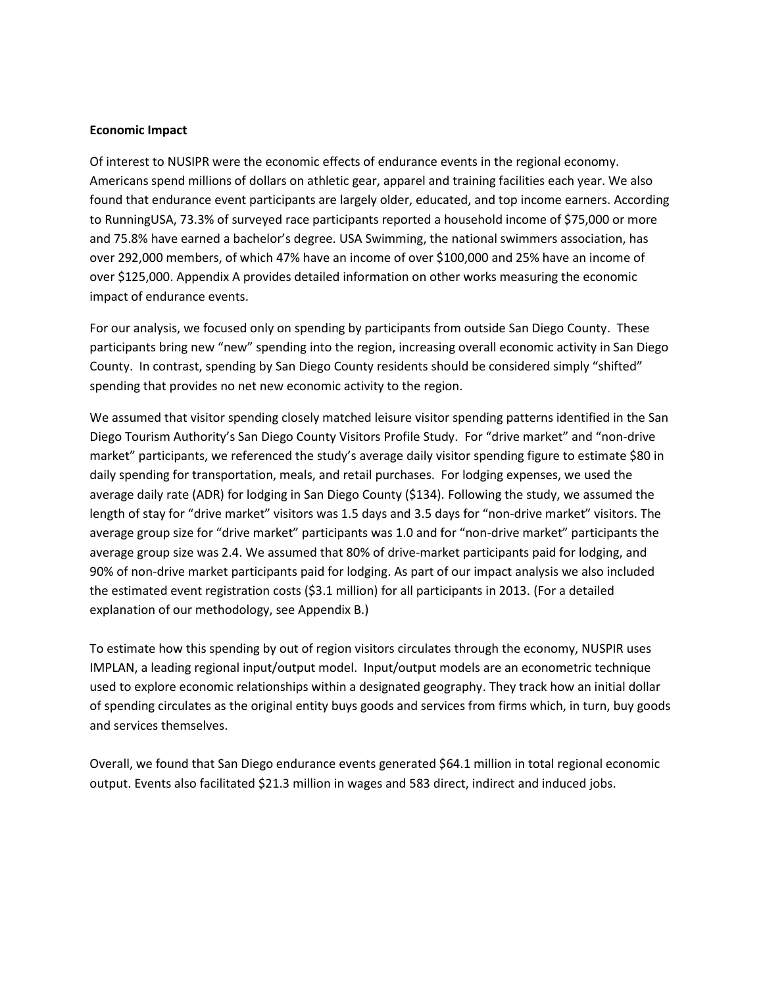#### **Economic Impact**

Of interest to NUSIPR were the economic effects of endurance events in the regional economy. Americans spend millions of dollars on athletic gear, apparel and training facilities each year. We also found that endurance event participants are largely older, educated, and top income earners. According to RunningUSA, 73.3% of surveyed race participants reported a household income of \$75,000 or more and 75.8% have earned a bachelor's degree. USA Swimming, the national swimmers association, has over 292,000 members, of which 47% have an income of over \$100,000 and 25% have an income of over \$125,000. Appendix A provides detailed information on other works measuring the economic impact of endurance events.

For our analysis, we focused only on spending by participants from outside San Diego County. These participants bring new "new" spending into the region, increasing overall economic activity in San Diego County. In contrast, spending by San Diego County residents should be considered simply "shifted" spending that provides no net new economic activity to the region.

We assumed that visitor spending closely matched leisure visitor spending patterns identified in the San Diego Tourism Authority's San Diego County Visitors Profile Study. For "drive market" and "non-drive market" participants, we referenced the study's average daily visitor spending figure to estimate \$80 in daily spending for transportation, meals, and retail purchases. For lodging expenses, we used the average daily rate (ADR) for lodging in San Diego County (\$134). Following the study, we assumed the length of stay for "drive market" visitors was 1.5 days and 3.5 days for "non-drive market" visitors. The average group size for "drive market" participants was 1.0 and for "non-drive market" participants the average group size was 2.4. We assumed that 80% of drive-market participants paid for lodging, and 90% of non-drive market participants paid for lodging. As part of our impact analysis we also included the estimated event registration costs (\$3.1 million) for all participants in 2013. (For a detailed explanation of our methodology, see Appendix B.)

To estimate how this spending by out of region visitors circulates through the economy, NUSPIR uses IMPLAN, a leading regional input/output model. Input/output models are an econometric technique used to explore economic relationships within a designated geography. They track how an initial dollar of spending circulates as the original entity buys goods and services from firms which, in turn, buy goods and services themselves.

Overall, we found that San Diego endurance events generated \$64.1 million in total regional economic output. Events also facilitated \$21.3 million in wages and 583 direct, indirect and induced jobs.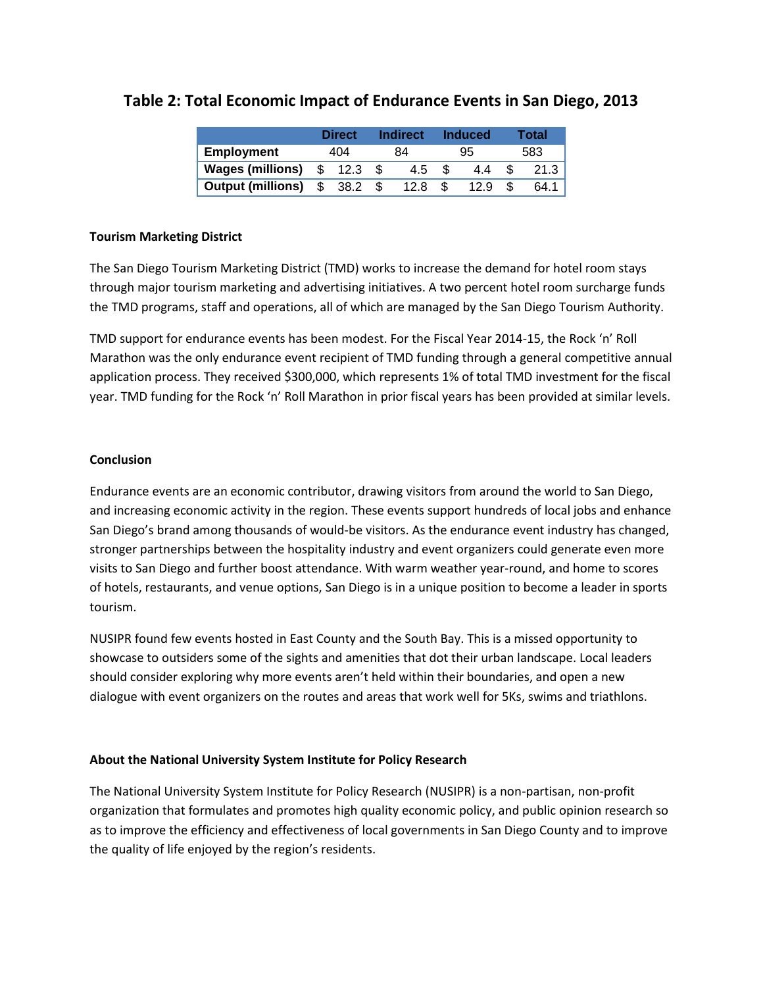|                                  | <b>Direct</b> |         | <b>Indirect</b> |      | <b>Induced</b> |      | Total |      |
|----------------------------------|---------------|---------|-----------------|------|----------------|------|-------|------|
| <b>Employment</b>                | 404           |         | 84              |      | 95             |      | 583   |      |
| <b>Wages (millions)</b>          |               | \$ 12.3 |                 | 4.5  |                | 4.4  |       | 21.3 |
| <b>Output (millions)</b> \$ 38.2 |               |         |                 | 12.8 |                | 12.9 |       | 64.1 |

# **Table 2: Total Economic Impact of Endurance Events in San Diego, 2013**

# **Tourism Marketing District**

The San Diego Tourism Marketing District (TMD) works to increase the demand for hotel room stays through major tourism marketing and advertising initiatives. A two percent hotel room surcharge funds the TMD programs, staff and operations, all of which are managed by the San Diego Tourism Authority.

TMD support for endurance events has been modest. For the Fiscal Year 2014-15, the Rock 'n' Roll Marathon was the only endurance event recipient of TMD funding through a general competitive annual application process. They received \$300,000, which represents 1% of total TMD investment for the fiscal year. TMD funding for the Rock 'n' Roll Marathon in prior fiscal years has been provided at similar levels.

# **Conclusion**

Endurance events are an economic contributor, drawing visitors from around the world to San Diego, and increasing economic activity in the region. These events support hundreds of local jobs and enhance San Diego's brand among thousands of would-be visitors. As the endurance event industry has changed, stronger partnerships between the hospitality industry and event organizers could generate even more visits to San Diego and further boost attendance. With warm weather year-round, and home to scores of hotels, restaurants, and venue options, San Diego is in a unique position to become a leader in sports tourism.

NUSIPR found few events hosted in East County and the South Bay. This is a missed opportunity to showcase to outsiders some of the sights and amenities that dot their urban landscape. Local leaders should consider exploring why more events aren't held within their boundaries, and open a new dialogue with event organizers on the routes and areas that work well for 5Ks, swims and triathlons.

# **About the National University System Institute for Policy Research**

The National University System Institute for Policy Research (NUSIPR) is a non-partisan, non-profit organization that formulates and promotes high quality economic policy, and public opinion research so as to improve the efficiency and effectiveness of local governments in San Diego County and to improve the quality of life enjoyed by the region's residents.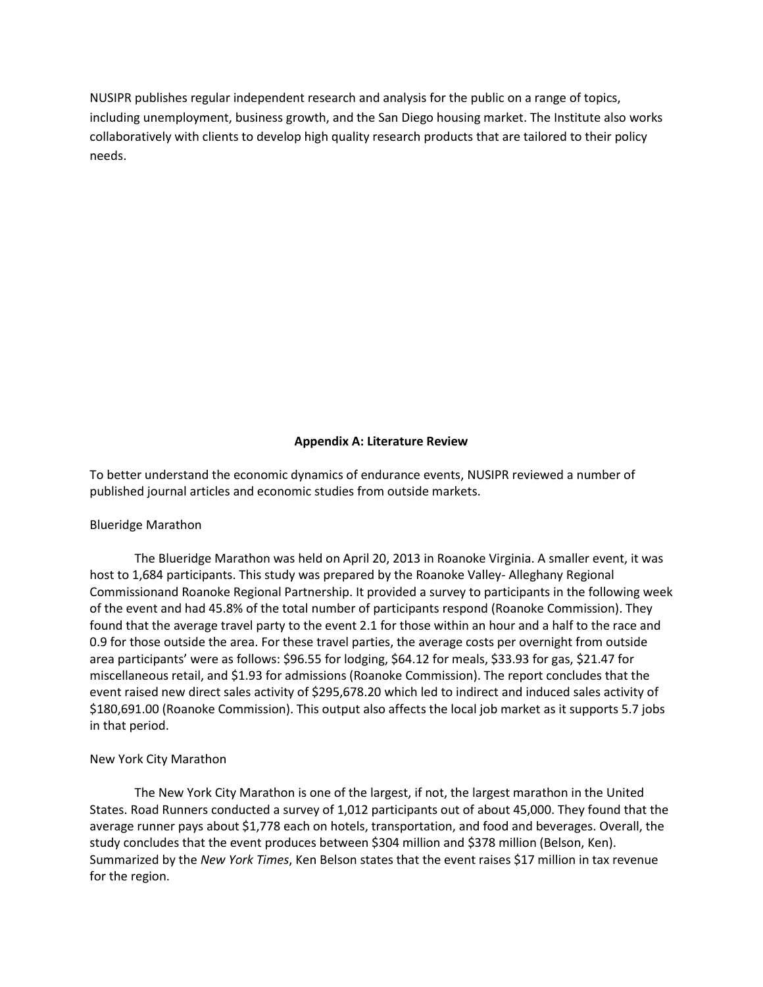NUSIPR publishes regular independent research and analysis for the public on a range of topics, including unemployment, business growth, and the San Diego housing market. The Institute also works collaboratively with clients to develop high quality research products that are tailored to their policy needs.

### **Appendix A: Literature Review**

To better understand the economic dynamics of endurance events, NUSIPR reviewed a number of published journal articles and economic studies from outside markets.

#### Blueridge Marathon

The Blueridge Marathon was held on April 20, 2013 in Roanoke Virginia. A smaller event, it was host to 1,684 participants. This study was prepared by the Roanoke Valley- Alleghany Regional Commissionand Roanoke Regional Partnership. It provided a survey to participants in the following week of the event and had 45.8% of the total number of participants respond (Roanoke Commission). They found that the average travel party to the event 2.1 for those within an hour and a half to the race and 0.9 for those outside the area. For these travel parties, the average costs per overnight from outside area participants' were as follows: \$96.55 for lodging, \$64.12 for meals, \$33.93 for gas, \$21.47 for miscellaneous retail, and \$1.93 for admissions (Roanoke Commission). The report concludes that the event raised new direct sales activity of \$295,678.20 which led to indirect and induced sales activity of \$180,691.00 (Roanoke Commission). This output also affects the local job market as it supports 5.7 jobs in that period.

#### New York City Marathon

The New York City Marathon is one of the largest, if not, the largest marathon in the United States. Road Runners conducted a survey of 1,012 participants out of about 45,000. They found that the average runner pays about \$1,778 each on hotels, transportation, and food and beverages. Overall, the study concludes that the event produces between \$304 million and \$378 million (Belson, Ken). Summarized by the *New York Times*, Ken Belson states that the event raises \$17 million in tax revenue for the region.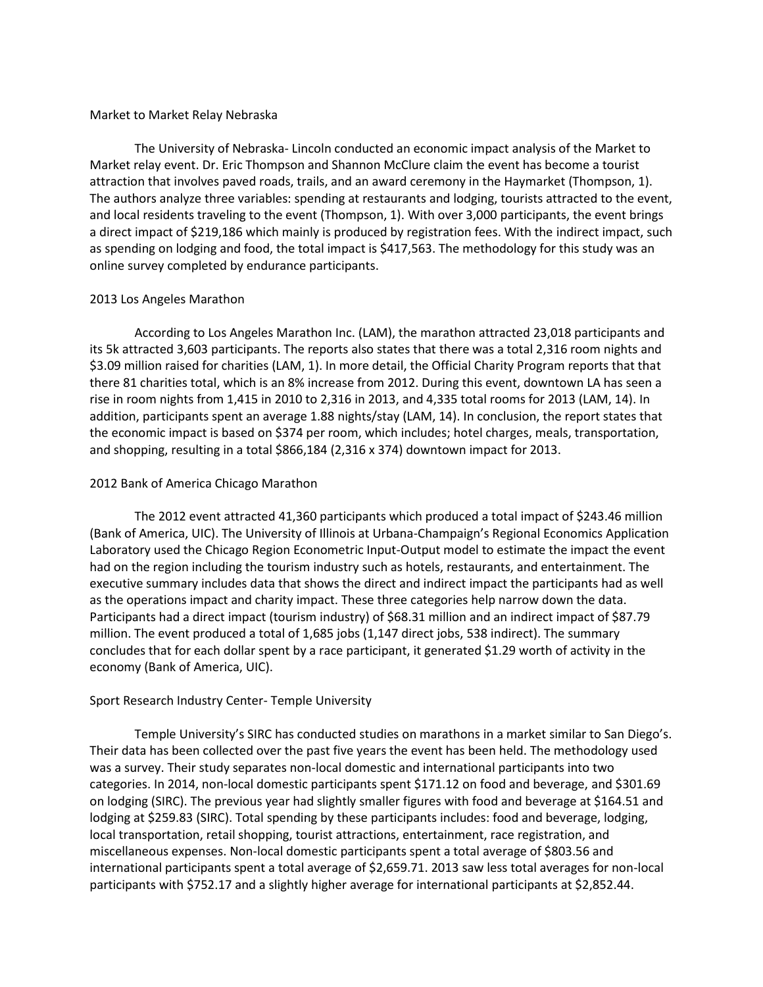#### Market to Market Relay Nebraska

The University of Nebraska- Lincoln conducted an economic impact analysis of the Market to Market relay event. Dr. Eric Thompson and Shannon McClure claim the event has become a tourist attraction that involves paved roads, trails, and an award ceremony in the Haymarket (Thompson, 1). The authors analyze three variables: spending at restaurants and lodging, tourists attracted to the event, and local residents traveling to the event (Thompson, 1). With over 3,000 participants, the event brings a direct impact of \$219,186 which mainly is produced by registration fees. With the indirect impact, such as spending on lodging and food, the total impact is \$417,563. The methodology for this study was an online survey completed by endurance participants.

#### 2013 Los Angeles Marathon

According to Los Angeles Marathon Inc. (LAM), the marathon attracted 23,018 participants and its 5k attracted 3,603 participants. The reports also states that there was a total 2,316 room nights and \$3.09 million raised for charities (LAM, 1). In more detail, the Official Charity Program reports that that there 81 charities total, which is an 8% increase from 2012. During this event, downtown LA has seen a rise in room nights from 1,415 in 2010 to 2,316 in 2013, and 4,335 total rooms for 2013 (LAM, 14). In addition, participants spent an average 1.88 nights/stay (LAM, 14). In conclusion, the report states that the economic impact is based on \$374 per room, which includes; hotel charges, meals, transportation, and shopping, resulting in a total \$866,184 (2,316 x 374) downtown impact for 2013.

### 2012 Bank of America Chicago Marathon

The 2012 event attracted 41,360 participants which produced a total impact of \$243.46 million (Bank of America, UIC). The University of Illinois at Urbana-Champaign's Regional Economics Application Laboratory used the Chicago Region Econometric Input-Output model to estimate the impact the event had on the region including the tourism industry such as hotels, restaurants, and entertainment. The executive summary includes data that shows the direct and indirect impact the participants had as well as the operations impact and charity impact. These three categories help narrow down the data. Participants had a direct impact (tourism industry) of \$68.31 million and an indirect impact of \$87.79 million. The event produced a total of 1,685 jobs (1,147 direct jobs, 538 indirect). The summary concludes that for each dollar spent by a race participant, it generated \$1.29 worth of activity in the economy (Bank of America, UIC).

#### Sport Research Industry Center- Temple University

Temple University's SIRC has conducted studies on marathons in a market similar to San Diego's. Their data has been collected over the past five years the event has been held. The methodology used was a survey. Their study separates non-local domestic and international participants into two categories. In 2014, non-local domestic participants spent \$171.12 on food and beverage, and \$301.69 on lodging (SIRC). The previous year had slightly smaller figures with food and beverage at \$164.51 and lodging at \$259.83 (SIRC). Total spending by these participants includes: food and beverage, lodging, local transportation, retail shopping, tourist attractions, entertainment, race registration, and miscellaneous expenses. Non-local domestic participants spent a total average of \$803.56 and international participants spent a total average of \$2,659.71. 2013 saw less total averages for non-local participants with \$752.17 and a slightly higher average for international participants at \$2,852.44.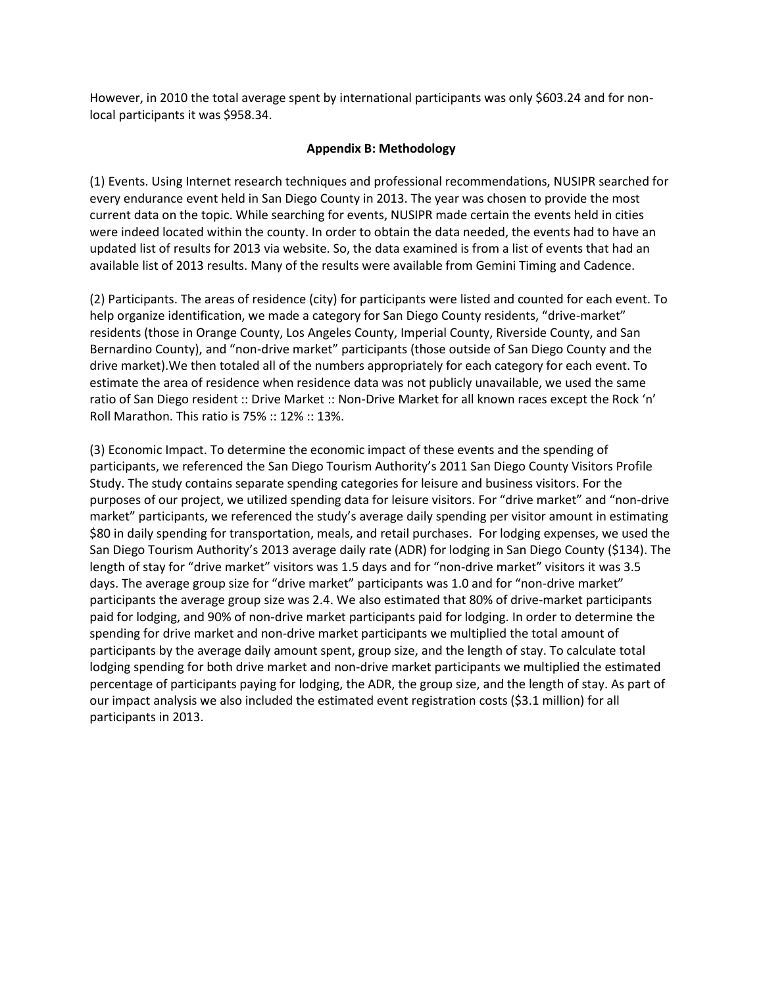However, in 2010 the total average spent by international participants was only \$603.24 and for nonlocal participants it was \$958.34.

### **Appendix B: Methodology**

(1) Events. Using Internet research techniques and professional recommendations, NUSIPR searched for every endurance event held in San Diego County in 2013. The year was chosen to provide the most current data on the topic. While searching for events, NUSIPR made certain the events held in cities were indeed located within the county. In order to obtain the data needed, the events had to have an updated list of results for 2013 via website. So, the data examined is from a list of events that had an available list of 2013 results. Many of the results were available from Gemini Timing and Cadence.

(2) Participants. The areas of residence (city) for participants were listed and counted for each event. To help organize identification, we made a category for San Diego County residents, "drive-market" residents (those in Orange County, Los Angeles County, Imperial County, Riverside County, and San Bernardino County), and "non-drive market" participants (those outside of San Diego County and the drive market).We then totaled all of the numbers appropriately for each category for each event. To estimate the area of residence when residence data was not publicly unavailable, we used the same ratio of San Diego resident :: Drive Market :: Non-Drive Market for all known races except the Rock 'n' Roll Marathon. This ratio is 75% :: 12% :: 13%.

(3) Economic Impact. To determine the economic impact of these events and the spending of participants, we referenced the San Diego Tourism Authority's 2011 San Diego County Visitors Profile Study. The study contains separate spending categories for leisure and business visitors. For the purposes of our project, we utilized spending data for leisure visitors. For "drive market" and "non-drive market" participants, we referenced the study's average daily spending per visitor amount in estimating \$80 in daily spending for transportation, meals, and retail purchases. For lodging expenses, we used the San Diego Tourism Authority's 2013 average daily rate (ADR) for lodging in San Diego County (\$134). The length of stay for "drive market" visitors was 1.5 days and for "non-drive market" visitors it was 3.5 days. The average group size for "drive market" participants was 1.0 and for "non-drive market" participants the average group size was 2.4. We also estimated that 80% of drive-market participants paid for lodging, and 90% of non-drive market participants paid for lodging. In order to determine the spending for drive market and non-drive market participants we multiplied the total amount of participants by the average daily amount spent, group size, and the length of stay. To calculate total lodging spending for both drive market and non-drive market participants we multiplied the estimated percentage of participants paying for lodging, the ADR, the group size, and the length of stay. As part of our impact analysis we also included the estimated event registration costs (\$3.1 million) for all participants in 2013.